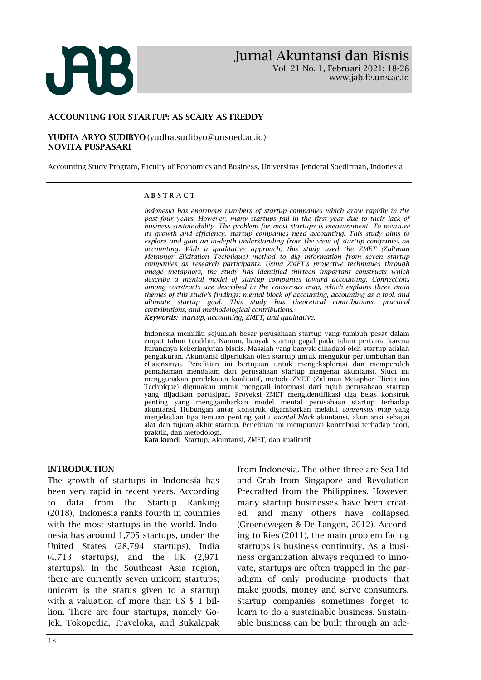

www.jab.fe.uns.ac.id

### ACCOUNTING FOR STARTUP: AS SCARY AS FREDDY

#### YUDHA ARYO SUDIBYO (yudha.sudibyo@unsoed.ac.id) NOVITA PUSPASARI

Accounting Study Program, Faculty of Economics and Business, Universitas Jenderal Soedirman, Indonesia

#### A B S T R A C T

*Indonesia has enormous numbers of startup companies which grow rapidly in the*  past four years. However, many startups fail in the first year due to their lack of *business sustainability. The problem for most startups is measurement. To measure its growth and efficiency, startup companies need accounting. This study aims to explore and gain an in-depth understanding from the view of startup companies on accounting. With a qualitative approach, this study used the ZMET (Zaltman Metaphor Elicitation Technique) method to dig information from seven startup companies as research participants. Using ZMET's projective techniques through image metaphors, the study has identified thirteen important constructs which describe a mental model of startup companies toward accounting. Connections among constructs are described in the consensus map, which explains three main themes of this study's findings: mental block of accounting, accounting as a tool, and ultimate startup goal. This study has theoretical contributions, practical contributions, and methodological contributions.*

*Keywords: startup, accounting, ZMET, and qualitative.*

Indonesia memiliki sejumlah besar perusahaan startup yang tumbuh pesat dalam empat tahun terakhir. Namun, banyak startup gagal pada tahun pertama karena kurangnya keberlanjutan bisnis. Masalah yang banyak dihadapi oleh startup adalah pengukuran. Akuntansi diperlukan oleh startup untuk mengukur pertumbuhan dan efisiensinya. Penelitian ini bertujuan untuk mengeksplorasi dan memperoleh pemahaman mendalam dari perusahaan startup mengenai akuntansi. Studi ini menggunakan pendekatan kualitatif, metode ZMET (Zaltman Metaphor Elicitation Technique) digunakan untuk menggali informasi dari tujuh perusahaan startup yang dijadikan partisipan. Proyeksi ZMET mengidentifikasi tiga belas konstruk penting yang menggambarkan model mental perusahaan startup terhadap akuntansi. Hubungan antar konstruk digambarkan melalui *consensus map* yang menjelaskan tiga temuan penting yaitu *mental block* akuntansi, akuntansi sebagai alat dan tujuan akhir startup. Penelitian ini mempunyai kontribusi terhadap teori, praktik, dan metodologi.

Kata kunci: Startup, Akuntansi, ZMET, dan kualitatif

#### INTRODUCTION

The growth of startups in Indonesia has been very rapid in recent years. According to data from the Startup Ranking (2018), Indonesia ranks fourth in countries with the most startups in the world. Indonesia has around 1,705 startups, under the United States (28,794 startups), India (4,713 startups), and the UK (2,971 startups). In the Southeast Asia region, there are currently seven unicorn startups; unicorn is the status given to a startup with a valuation of more than US \$ 1 billion. There are four startups, namely Go-Jek, Tokopedia, Traveloka, and Bukalapak

from Indonesia. The other three are Sea Ltd and Grab from Singapore and Revolution Precrafted from the Philippines. However, many startup businesses have been created, and many others have collapsed (Groenewegen & De Langen, 2012). According to Ries (2011), the main problem facing startups is business continuity. As a business organization always required to innovate, startups are often trapped in the paradigm of only producing products that make goods, money and serve consumers. Startup companies sometimes forget to learn to do a sustainable business. Sustainable business can be built through an ade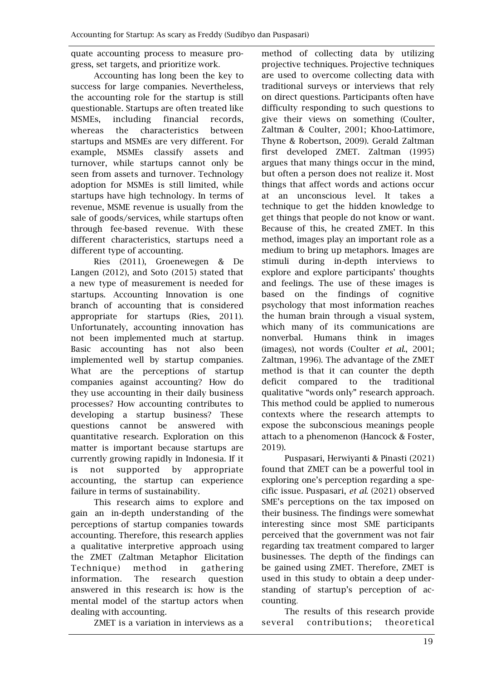quate accounting process to measure progress, set targets, and prioritize work.

Accounting has long been the key to success for large companies. Nevertheless, the accounting role for the startup is still questionable. Startups are often treated like MSMEs, including financial records, whereas the characteristics between startups and MSMEs are very different. For example, MSMEs classify assets and turnover, while startups cannot only be seen from assets and turnover. Technology adoption for MSMEs is still limited, while startups have high technology. In terms of revenue, MSME revenue is usually from the sale of goods/services, while startups often through fee-based revenue. With these different characteristics, startups need a different type of accounting.

Ries (2011), Groenewegen & De Langen (2012), and Soto (2015) stated that a new type of measurement is needed for startups. Accounting Innovation is one branch of accounting that is considered appropriate for startups (Ries, 2011). Unfortunately, accounting innovation has not been implemented much at startup. Basic accounting has not also been implemented well by startup companies. What are the perceptions of startup companies against accounting? How do they use accounting in their daily business processes? How accounting contributes to developing a startup business? These questions cannot be answered with quantitative research. Exploration on this matter is important because startups are currently growing rapidly in Indonesia. If it is not supported by appropriate accounting, the startup can experience failure in terms of sustainability.

This research aims to explore and gain an in-depth understanding of the perceptions of startup companies towards accounting. Therefore, this research applies a qualitative interpretive approach using the ZMET (Zaltman Metaphor Elicitation Technique) method in gathering information. The research question answered in this research is: how is the mental model of the startup actors when dealing with accounting.

ZMET is a variation in interviews as a

method of collecting data by utilizing projective techniques. Projective techniques are used to overcome collecting data with traditional surveys or interviews that rely on direct questions. Participants often have difficulty responding to such questions to give their views on something (Coulter, Zaltman & Coulter, 2001; Khoo-Lattimore, Thyne & Robertson, 2009). Gerald Zaltman first developed ZMET. Zaltman (1995) argues that many things occur in the mind, but often a person does not realize it. Most things that affect words and actions occur at an unconscious level. It takes a technique to get the hidden knowledge to get things that people do not know or want. Because of this, he created ZMET. In this method, images play an important role as a medium to bring up metaphors. Images are stimuli during in-depth interviews to explore and explore participants' thoughts and feelings. The use of these images is based on the findings of cognitive psychology that most information reaches the human brain through a visual system, which many of its communications are nonverbal. Humans think in images (images), not words (Coulter *et al*., 2001; Zaltman, 1996). The advantage of the ZMET method is that it can counter the depth deficit compared to the traditional qualitative "words only" research approach. This method could be applied to numerous contexts where the research attempts to expose the subconscious meanings people attach to a phenomenon (Hancock & Foster, 2019).

Puspasari, Herwiyanti & Pinasti (2021) found that ZMET can be a powerful tool in exploring one's perception regarding a specific issue. Puspasari, *et al*. (2021) observed SME's perceptions on the tax imposed on their business. The findings were somewhat interesting since most SME participants perceived that the government was not fair regarding tax treatment compared to larger businesses. The depth of the findings can be gained using ZMET. Therefore, ZMET is used in this study to obtain a deep understanding of startup's perception of accounting.

The results of this research provide several contributions; theoretical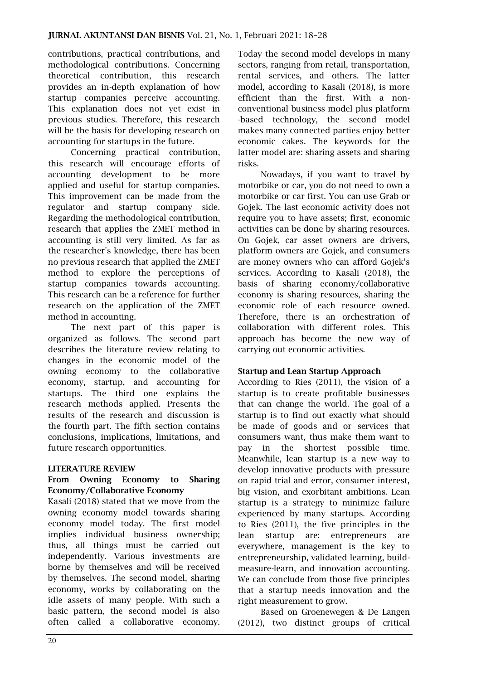contributions, practical contributions, and methodological contributions. Concerning theoretical contribution, this research provides an in-depth explanation of how startup companies perceive accounting. This explanation does not yet exist in previous studies. Therefore, this research will be the basis for developing research on accounting for startups in the future.

Concerning practical contribution, this research will encourage efforts of accounting development to be more applied and useful for startup companies. This improvement can be made from the regulator and startup company side. Regarding the methodological contribution, research that applies the ZMET method in accounting is still very limited. As far as the researcher's knowledge, there has been no previous research that applied the ZMET method to explore the perceptions of startup companies towards accounting. This research can be a reference for further research on the application of the ZMET method in accounting.

The next part of this paper is organized as follows. The second part describes the literature review relating to changes in the economic model of the owning economy to the collaborative economy, startup, and accounting for startups. The third one explains the research methods applied. Presents the results of the research and discussion is the fourth part. The fifth section contains conclusions, implications, limitations, and future research opportunities.

# LITERATURE REVIEW

### From Owning Economy to Sharing Economy/Collaborative Economy

Kasali (2018) stated that we move from the owning economy model towards sharing economy model today. The first model implies individual business ownership; thus, all things must be carried out independently. Various investments are borne by themselves and will be received by themselves. The second model, sharing economy, works by collaborating on the idle assets of many people. With such a basic pattern, the second model is also often called a collaborative economy. Today the second model develops in many sectors, ranging from retail, transportation, rental services, and others. The latter model, according to Kasali (2018), is more efficient than the first. With a nonconventional business model plus platform -based technology, the second model makes many connected parties enjoy better economic cakes. The keywords for the latter model are: sharing assets and sharing risks.

Nowadays, if you want to travel by motorbike or car, you do not need to own a motorbike or car first. You can use Grab or Gojek. The last economic activity does not require you to have assets; first, economic activities can be done by sharing resources. On Gojek, car asset owners are drivers, platform owners are Gojek, and consumers are money owners who can afford Gojek's services. According to Kasali (2018), the basis of sharing economy/collaborative economy is sharing resources, sharing the economic role of each resource owned. Therefore, there is an orchestration of collaboration with different roles. This approach has become the new way of carrying out economic activities.

### Startup and Lean Startup Approach

According to Ries (2011), the vision of a startup is to create profitable businesses that can change the world. The goal of a startup is to find out exactly what should be made of goods and or services that consumers want, thus make them want to pay in the shortest possible time. Meanwhile, lean startup is a new way to develop innovative products with pressure on rapid trial and error, consumer interest, big vision, and exorbitant ambitions. Lean startup is a strategy to minimize failure experienced by many startups. According to Ries (2011), the five principles in the lean startup are: entrepreneurs are everywhere, management is the key to entrepreneurship, validated learning, buildmeasure-learn, and innovation accounting. We can conclude from those five principles that a startup needs innovation and the right measurement to grow.

Based on Groenewegen & De Langen (2012), two distinct groups of critical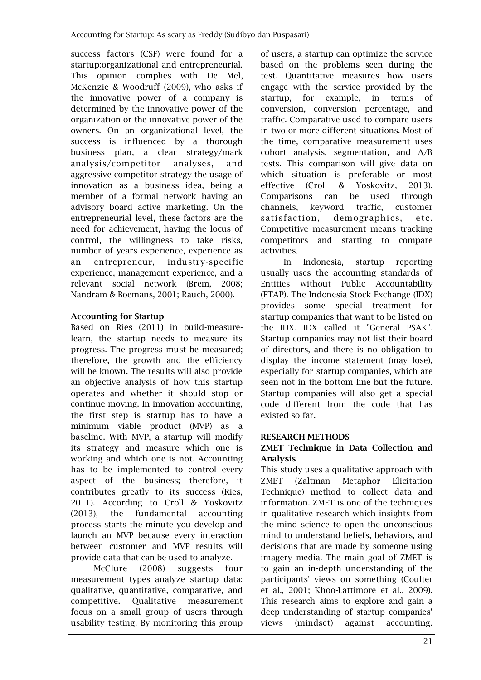success factors (CSF) were found for a startup:organizational and entrepreneurial. This opinion complies with De Mel, McKenzie & Woodruff (2009), who asks if the innovative power of a company is determined by the innovative power of the organization or the innovative power of the owners. On an organizational level, the success is influenced by a thorough business plan, a clear strategy/mark analysis/competitor analyses, and aggressive competitor strategy the usage of innovation as a business idea, being a member of a formal network having an advisory board active marketing. On the entrepreneurial level, these factors are the need for achievement, having the locus of control, the willingness to take risks, number of years experience, experience as an entrepreneur, industry-specific experience, management experience, and a relevant social network (Brem, 2008; Nandram & Boemans, 2001; Rauch, 2000).

# Accounting for Startup

Based on Ries (2011) in build-measurelearn, the startup needs to measure its progress. The progress must be measured; therefore, the growth and the efficiency will be known. The results will also provide an objective analysis of how this startup operates and whether it should stop or continue moving. In innovation accounting, the first step is startup has to have a minimum viable product (MVP) as a baseline. With MVP, a startup will modify its strategy and measure which one is working and which one is not. Accounting has to be implemented to control every aspect of the business; therefore, it contributes greatly to its success (Ries, 2011). According to Croll & Yoskovitz (2013), the fundamental accounting process starts the minute you develop and launch an MVP because every interaction between customer and MVP results will provide data that can be used to analyze.

McClure (2008) suggests four measurement types analyze startup data: qualitative, quantitative, comparative, and competitive. Qualitative measurement focus on a small group of users through usability testing. By monitoring this group

of users, a startup can optimize the service based on the problems seen during the test. Quantitative measures how users engage with the service provided by the startup, for example, in terms of conversion, conversion percentage, and traffic. Comparative used to compare users in two or more different situations. Most of the time, comparative measurement uses cohort analysis, segmentation, and A/B tests. This comparison will give data on which situation is preferable or most effective (Croll & Yoskovitz, 2013). Comparisons can be used through channels, keyword traffic, customer satisfaction, demographics, etc. Competitive measurement means tracking competitors and starting to compare activities.

In Indonesia, startup reporting usually uses the accounting standards of Entities without Public Accountability (ETAP). The Indonesia Stock Exchange (IDX) provides some special treatment for startup companies that want to be listed on the IDX. IDX called it "General PSAK". Startup companies may not list their board of directors, and there is no obligation to display the income statement (may lose), especially for startup companies, which are seen not in the bottom line but the future. Startup companies will also get a special code different from the code that has existed so far.

# RESEARCH METHODS

# ZMET Technique in Data Collection and Analysis

This study uses a qualitative approach with ZMET (Zaltman Metaphor Elicitation Technique) method to collect data and information. ZMET is one of the techniques in qualitative research which insights from the mind science to open the unconscious mind to understand beliefs, behaviors, and decisions that are made by someone using imagery media. The main goal of ZMET is to gain an in-depth understanding of the participants' views on something (Coulter et al., 2001; Khoo-Lattimore et al., 2009). This research aims to explore and gain a deep understanding of startup companies' views (mindset) against accounting.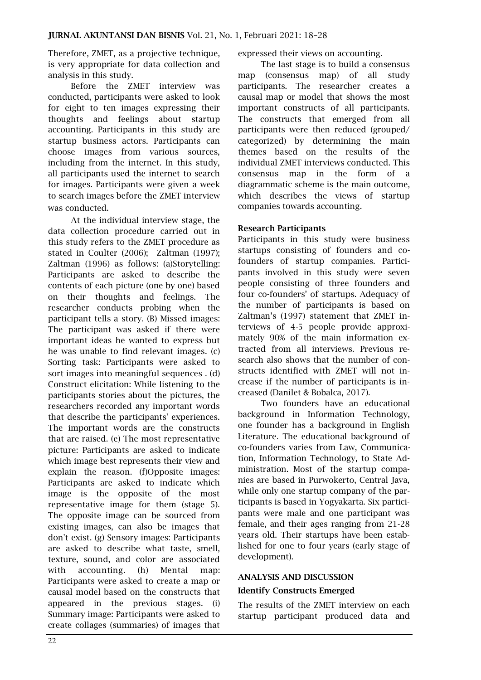Therefore, ZMET, as a projective technique, is very appropriate for data collection and analysis in this study.

Before the ZMET interview was conducted, participants were asked to look for eight to ten images expressing their thoughts and feelings about startup accounting. Participants in this study are startup business actors. Participants can choose images from various sources, including from the internet. In this study, all participants used the internet to search for images. Participants were given a week to search images before the ZMET interview was conducted.

At the individual interview stage, the data collection procedure carried out in this study refers to the ZMET procedure as stated in Coulter (2006); Zaltman (1997); Zaltman (1996) as follows: (a)Storytelling: Participants are asked to describe the contents of each picture (one by one) based on their thoughts and feelings. The researcher conducts probing when the participant tells a story. (B) Missed images: The participant was asked if there were important ideas he wanted to express but he was unable to find relevant images. (c) Sorting task: Participants were asked to sort images into meaningful sequences . (d) Construct elicitation: While listening to the participants stories about the pictures, the researchers recorded any important words that describe the participants' experiences. The important words are the constructs that are raised. (e) The most representative picture: Participants are asked to indicate which image best represents their view and explain the reason. (f)Opposite images: Participants are asked to indicate which image is the opposite of the most representative image for them (stage 5). The opposite image can be sourced from existing images, can also be images that don't exist. (g) Sensory images: Participants are asked to describe what taste, smell, texture, sound, and color are associated with accounting. (h) Mental map: Participants were asked to create a map or causal model based on the constructs that appeared in the previous stages. (i) Summary image: Participants were asked to create collages (summaries) of images that

expressed their views on accounting.

The last stage is to build a consensus map (consensus map) of all study participants. The researcher creates a causal map or model that shows the most important constructs of all participants. The constructs that emerged from all participants were then reduced (grouped/ categorized) by determining the main themes based on the results of the individual ZMET interviews conducted. This consensus map in the form of a diagrammatic scheme is the main outcome, which describes the views of startup companies towards accounting.

### Research Participants

Participants in this study were business startups consisting of founders and cofounders of startup companies. Participants involved in this study were seven people consisting of three founders and four co-founders' of startups. Adequacy of the number of participants is based on Zaltman's (1997) statement that ZMET interviews of 4-5 people provide approximately 90% of the main information extracted from all interviews. Previous research also shows that the number of constructs identified with ZMET will not increase if the number of participants is increased (Danilet & Bobalca, 2017).

Two founders have an educational background in Information Technology, one founder has a background in English Literature. The educational background of co-founders varies from Law, Communication, Information Technology, to State Administration. Most of the startup companies are based in Purwokerto, Central Java, while only one startup company of the participants is based in Yogyakarta. Six participants were male and one participant was female, and their ages ranging from 21-28 years old. Their startups have been established for one to four years (early stage of development).

### ANALYSIS AND DISCUSSION

#### Identify Constructs Emerged

The results of the ZMET interview on each startup participant produced data and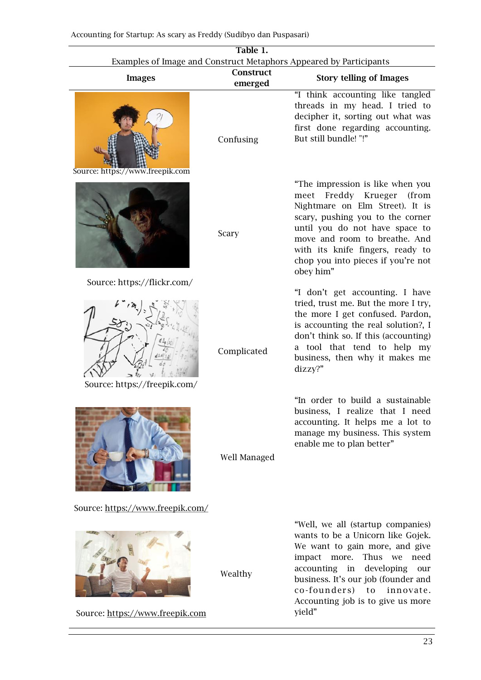| Table 1.<br>Examples of Image and Construct Metaphors Appeared by Participants |                      |                                                                                                                                                                                                                                                                                                            |  |  |
|--------------------------------------------------------------------------------|----------------------|------------------------------------------------------------------------------------------------------------------------------------------------------------------------------------------------------------------------------------------------------------------------------------------------------------|--|--|
| <b>Images</b>                                                                  | Construct<br>emerged | <b>Story telling of Images</b>                                                                                                                                                                                                                                                                             |  |  |
| Source: https://www.freepik.com                                                | Confusing            | "I think accounting like tangled<br>threads in my head. I tried to<br>decipher it, sorting out what was<br>first done regarding accounting.<br>But still bundle! "!"                                                                                                                                       |  |  |
|                                                                                | Scary                | "The impression is like when you<br>meet Freddy Krueger<br>(from<br>Nightmare on Elm Street). It is<br>scary, pushing you to the corner<br>until you do not have space to<br>move and room to breathe. And<br>with its knife fingers, ready to<br>chop you into pieces if you're not<br>obey him"          |  |  |
| Source: https://flickr.com/<br>Source: https://freepik.com/                    | Complicated          | "I don't get accounting. I have<br>tried, trust me. But the more I try,<br>the more I get confused. Pardon,<br>is accounting the real solution?, I<br>don't think so. If this (accounting)<br>a tool that tend to help my<br>business, then why it makes me<br>dizzy?"                                     |  |  |
|                                                                                | Well Managed         | "In order to build a sustainable<br>business, I realize that I need<br>accounting. It helps me a lot to<br>manage my business. This system<br>enable me to plan better"                                                                                                                                    |  |  |
| Source: https://www.freepik.com/<br>Source: https://www.freepik.com            | Wealthy              | "Well, we all (startup companies)<br>wants to be a Unicorn like Gojek.<br>We want to gain more, and give<br>Thus we<br>need<br>impact more.<br>developing<br>accounting<br>in<br>our<br>business. It's our job (founder and<br>co-founders) to<br>innovate.<br>Accounting job is to give us more<br>yield" |  |  |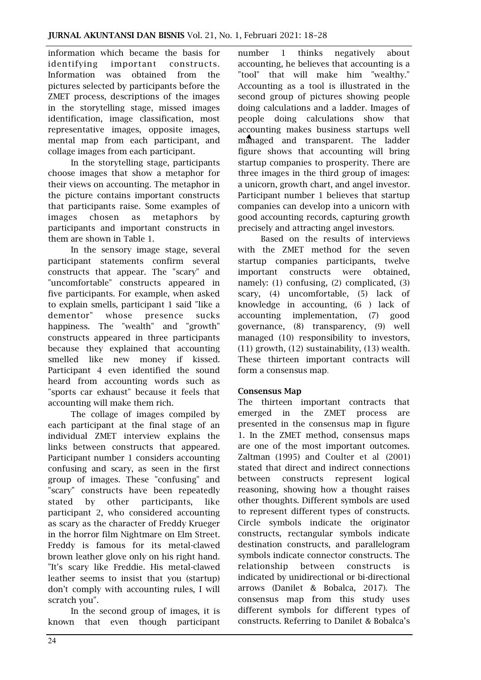information which became the basis for identifying important constructs. Information was obtained from the pictures selected by participants before the ZMET process, descriptions of the images in the storytelling stage, missed images identification, image classification, most representative images, opposite images, mental map from each participant, and collage images from each participant.

In the storytelling stage, participants choose images that show a metaphor for their views on accounting. The metaphor in the picture contains important constructs that participants raise. Some examples of images chosen as metaphors by participants and important constructs in them are shown in Table 1.

In the sensory image stage, several participant statements confirm several constructs that appear. The "scary" and "uncomfortable" constructs appeared in five participants. For example, when asked to explain smells, participant 1 said "like a dementor" whose presence sucks happiness. The "wealth" and "growth" constructs appeared in three participants because they explained that accounting smelled like new money if kissed. Participant 4 even identified the sound heard from accounting words such as "sports car exhaust" because it feels that accounting will make them rich.

The collage of images compiled by each participant at the final stage of an individual ZMET interview explains the links between constructs that appeared. Participant number 1 considers accounting confusing and scary, as seen in the first group of images. These "confusing" and "scary" constructs have been repeatedly stated by other participants, like participant 2, who considered accounting as scary as the character of Freddy Krueger in the horror film Nightmare on Elm Street. Freddy is famous for its metal-clawed brown leather glove only on his right hand. "It's scary like Freddie. His metal-clawed leather seems to insist that you (startup) don't comply with accounting rules, I will scratch you".

In the second group of images, it is known that even though participant number 1 thinks negatively about accounting, he believes that accounting is a "tool" that will make him "wealthy." Accounting as a tool is illustrated in the second group of pictures showing people doing calculations and a ladder. Images of people doing calculations show that accounting makes business startups well managed and transparent. The ladder figure shows that accounting will bring startup companies to prosperity. There are three images in the third group of images: a unicorn, growth chart, and angel investor. Participant number 1 believes that startup companies can develop into a unicorn with good accounting records, capturing growth precisely and attracting angel investors.

Based on the results of interviews with the ZMET method for the seven startup companies participants, twelve important constructs were obtained, namely: (1) confusing, (2) complicated, (3) scary, (4) uncomfortable, (5) lack of knowledge in accounting, (6 ) lack of accounting implementation, (7) good governance, (8) transparency, (9) well managed (10) responsibility to investors, (11) growth, (12) sustainability, (13) wealth. These thirteen important contracts will form a consensus map.

### Consensus Map

The thirteen important contracts that emerged in the ZMET process are presented in the consensus map in figure 1. In the ZMET method, consensus maps are one of the most important outcomes. Zaltman (1995) and Coulter et al (2001) stated that direct and indirect connections between constructs represent logical reasoning, showing how a thought raises other thoughts. Different symbols are used to represent different types of constructs. Circle symbols indicate the originator constructs, rectangular symbols indicate destination constructs, and parallelogram symbols indicate connector constructs. The relationship between constructs is indicated by unidirectional or bi-directional arrows (Danilet & Bobalca, 2017). The consensus map from this study uses different symbols for different types of constructs. Referring to Danilet & Bobalca's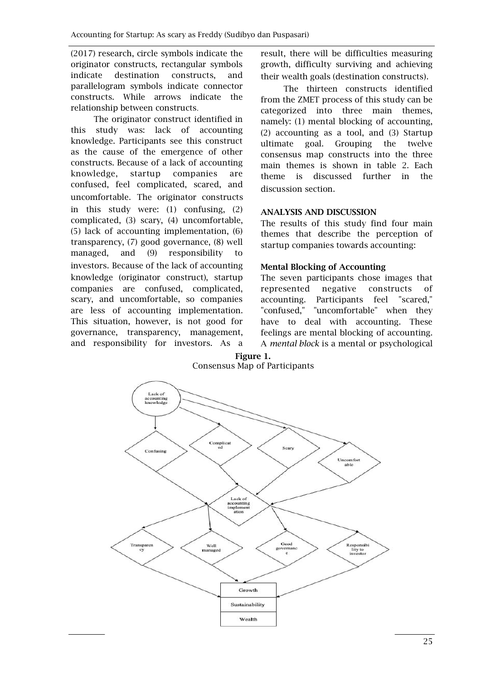(2017) research, circle symbols indicate the originator constructs, rectangular symbols indicate destination constructs, and parallelogram symbols indicate connector constructs. While arrows indicate the relationship between constructs.

The originator construct identified in this study was: lack of accounting knowledge. Participants see this construct as the cause of the emergence of other constructs. Because of a lack of accounting knowledge, startup companies are confused, feel complicated, scared, and uncomfortable. The originator constructs in this study were: (1) confusing, (2) complicated, (3) scary, (4) uncomfortable, (5) lack of accounting implementation, (6) transparency, (7) good governance, (8) well managed, and (9) responsibility to investors. Because of the lack of accounting knowledge (originator construct), startup companies are confused, complicated, scary, and uncomfortable, so companies are less of accounting implementation. This situation, however, is not good for governance, transparency, management, and responsibility for investors. As a result, there will be difficulties measuring growth, difficulty surviving and achieving their wealth goals (destination constructs).

The thirteen constructs identified from the ZMET process of this study can be categorized into three main themes, namely: (1) mental blocking of accounting, (2) accounting as a tool, and (3) Startup ultimate goal. Grouping the twelve consensus map constructs into the three main themes is shown in table 2. Each theme is discussed further in the discussion section.

# ANALYSIS AND DISCUSSION

The results of this study find four main themes that describe the perception of startup companies towards accounting:

# Mental Blocking of Accounting

The seven participants chose images that represented negative constructs of accounting. Participants feel "scared," "confused," "uncomfortable" when they have to deal with accounting. These feelings are mental blocking of accounting. A *mental block* is a mental or psychological

### Figure 1. Consensus Map of Participants

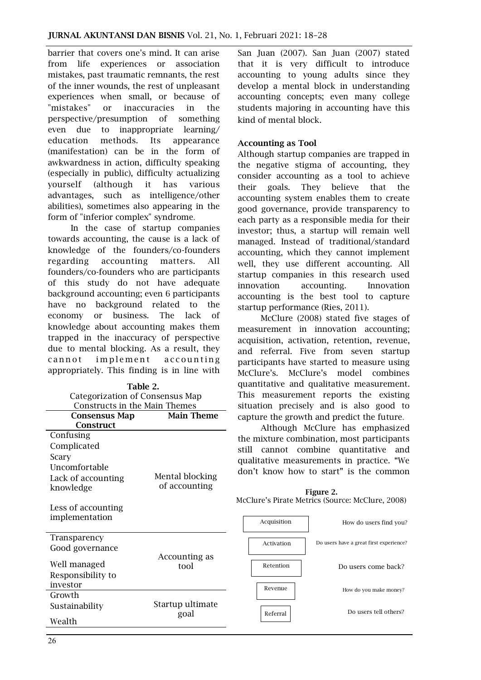barrier that covers one's mind. It can arise from life experiences or association mistakes, past traumatic remnants, the rest of the inner wounds, the rest of unpleasant experiences when small, or because of "mistakes" or inaccuracies in the perspective/presumption of something even due to inappropriate learning/ education methods. Its appearance (manifestation) can be in the form of awkwardness in action, difficulty speaking (especially in public), difficulty actualizing yourself (although it has various advantages, such as intelligence/other abilities), sometimes also appearing in the form of "inferior complex" syndrome.

In the case of startup companies towards accounting, the cause is a lack of knowledge of the founders/co-founders regarding accounting matters. All founders/co-founders who are participants of this study do not have adequate background accounting; even 6 participants have no background related to the economy or business. The lack of knowledge about accounting makes them trapped in the inaccuracy of perspective due to mental blocking. As a result, they cannot implement accounting appropriately. This finding is in line with

Table 2.

| Categorization of Consensus Map      |                   |  |  |
|--------------------------------------|-------------------|--|--|
| Constructs in the Main Themes        |                   |  |  |
| <b>Consensus Map</b>                 | <b>Main Theme</b> |  |  |
| Construct                            |                   |  |  |
| Confusing                            |                   |  |  |
| Complicated                          |                   |  |  |
| Scary                                |                   |  |  |
| Uncomfortable                        |                   |  |  |
| Lack of accounting                   | Mental blocking   |  |  |
| knowledge                            | of accounting     |  |  |
| Less of accounting<br>implementation |                   |  |  |
| Transparency                         |                   |  |  |
| Good governance                      |                   |  |  |
|                                      | Accounting as     |  |  |
| Well managed                         | tool              |  |  |
| Responsibility to                    |                   |  |  |
| investor                             |                   |  |  |
| Growth                               |                   |  |  |
| Sustainability                       | Startup ultimate  |  |  |
|                                      | ادمہ              |  |  |

San Juan (2007). San Juan (2007) stated that it is very difficult to introduce accounting to young adults since they develop a mental block in understanding accounting concepts; even many college students majoring in accounting have this kind of mental block.

### Accounting as Tool

Although startup companies are trapped in the negative stigma of accounting, they consider accounting as a tool to achieve their goals. They believe that the accounting system enables them to create good governance, provide transparency to each party as a responsible media for their investor; thus, a startup will remain well managed. Instead of traditional/standard accounting, which they cannot implement well, they use different accounting. All startup companies in this research used innovation accounting. Innovation accounting is the best tool to capture startup performance (Ries, 2011).

McClure (2008) stated five stages of measurement in innovation accounting; acquisition, activation, retention, revenue, and referral. Five from seven startup participants have started to measure using McClure's. McClure's model combines quantitative and qualitative measurement. This measurement reports the existing situation precisely and is also good to capture the growth and predict the future.

Although McClure has emphasized the mixture combination, most participants still cannot combine quantitative and qualitative measurements in practice. "We don't know how to start" is the common

| Figure 2.                                        |  |
|--------------------------------------------------|--|
| McClure's Pirate Metrics (Source: McClure, 2008) |  |

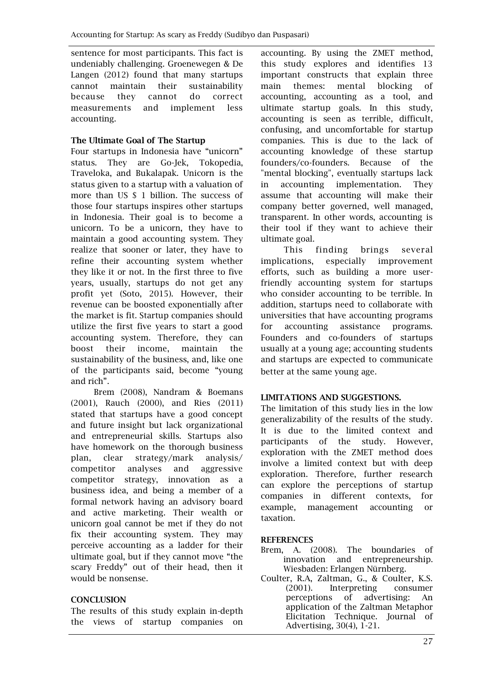sentence for most participants. This fact is undeniably challenging. Groenewegen & De Langen (2012) found that many startups cannot maintain their sustainability because they cannot do correct measurements and implement less accounting.

# The Ultimate Goal of The Startup

Four startups in Indonesia have "unicorn" status. They are Go-Jek, Tokopedia, Traveloka, and Bukalapak. Unicorn is the status given to a startup with a valuation of more than US \$ 1 billion. The success of those four startups inspires other startups in Indonesia. Their goal is to become a unicorn. To be a unicorn, they have to maintain a good accounting system. They realize that sooner or later, they have to refine their accounting system whether they like it or not. In the first three to five years, usually, startups do not get any profit yet (Soto, 2015). However, their revenue can be boosted exponentially after the market is fit. Startup companies should utilize the first five years to start a good accounting system. Therefore, they can boost their income, maintain the sustainability of the business, and, like one of the participants said, become "young and rich".

Brem (2008), Nandram & Boemans (2001), Rauch (2000), and Ries (2011) stated that startups have a good concept and future insight but lack organizational and entrepreneurial skills. Startups also have homework on the thorough business plan, clear strategy/mark analysis/ competitor analyses and aggressive competitor strategy, innovation as a business idea, and being a member of a formal network having an advisory board and active marketing. Their wealth or unicorn goal cannot be met if they do not fix their accounting system. They may perceive accounting as a ladder for their ultimate goal, but if they cannot move "the scary Freddy" out of their head, then it would be nonsense.

### **CONCLUSION**

The results of this study explain in-depth the views of startup companies on

accounting. By using the ZMET method, this study explores and identifies 13 important constructs that explain three main themes: mental blocking of accounting, accounting as a tool, and ultimate startup goals. In this study, accounting is seen as terrible, difficult, confusing, and uncomfortable for startup companies. This is due to the lack of accounting knowledge of these startup founders/co-founders. Because of the "mental blocking", eventually startups lack in accounting implementation. They assume that accounting will make their company better governed, well managed, transparent. In other words, accounting is their tool if they want to achieve their ultimate goal.

This finding brings several implications, especially improvement efforts, such as building a more userfriendly accounting system for startups who consider accounting to be terrible. In addition, startups need to collaborate with universities that have accounting programs for accounting assistance programs. Founders and co-founders of startups usually at a young age; accounting students and startups are expected to communicate better at the same young age.

### LIMITATIONS AND SUGGESTIONS.

The limitation of this study lies in the low generalizability of the results of the study. It is due to the limited context and participants of the study. However, exploration with the ZMET method does involve a limited context but with deep exploration. Therefore, further research can explore the perceptions of startup companies in different contexts, for example, management accounting or taxation.

### **REFERENCES**

- Brem, A. (2008). The boundaries of innovation and entrepreneurship. Wiesbaden: Erlangen Nürnberg.
- Coulter, R.A, Zaltman, G., & Coulter, K.S. (2001). Interpreting consumer perceptions of advertising: An application of the Zaltman Metaphor Elicitation Technique. Journal of Advertising, 30(4), 1-21.